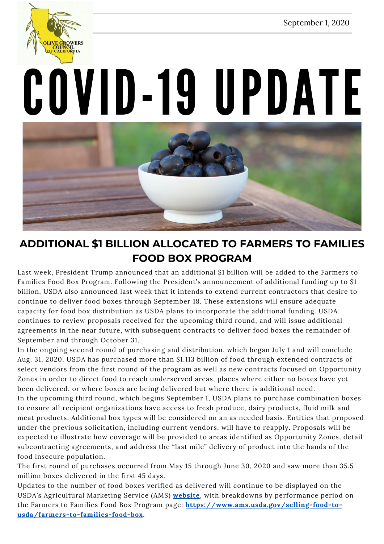September 1, 2020



# COVID-19 UPDATE



# **ADDITIONAL \$1 BILLION ALLOCATED TO FARMERS TO FAMILIES FOOD BOX PROGRAM**

Last week, President Trump announced that an additional \$1 billion will be added to the Farmers to Families Food Box Program. Following the President's announcement of additional funding up to \$1 billion, USDA also announced last week that it intends to extend current contractors that desire to continue to deliver food boxes through September 18. These extensions will ensure adequate capacity for food box distribution as USDA plans to incorporate the additional funding. USDA continues to review proposals received for the upcoming third round, and will issue additional agreements in the near future, with subsequent contracts to deliver food boxes the remainder of September and through October 31.

In the ongoing second round of purchasing and distribution, which began July 1 and will conclude Aug. 31, 2020, USDA has purchased more than \$1.113 billion of food through extended contracts of select vendors from the first round of the program as well as new contracts focused on Opportunity Zones in order to direct food to reach underserved areas, places where either no boxes have yet been delivered, or where boxes are being delivered but where there is additional need.

In the upcoming third round, which begins September 1, USDA plans to purchase combination boxes to ensure all recipient organizations have access to fresh produce, dairy products, fluid milk and meat products. Additional box types will be considered on an as needed basis. Entities that proposed under the previous solicitation, including current vendors, will have to reapply. Proposals will be expected to illustrate how coverage will be provided to areas identified as Opportunity Zones, detail subcontracting agreements, and address the "last mile" delivery of product into the hands of the food insecure population.

The first round of purchases occurred from May 15 through June 30, 2020 and saw more than 35.5 million boxes delivered in the first 45 days.

Updates to the number of food boxes verified as delivered will continue to be displayed on the USDA's Agricultural Marketing Service (AMS) **[website](https://www.ams.usda.gov/)**, with breakdowns by performance period on the Farmers to Families Food Box Program page: **[https://www.ams.usda.gov/selling-food-to](https://www.ams.usda.gov/selling-food-to-usda/farmers-to-families-food-box)usda/farmers-to-families-food-box.**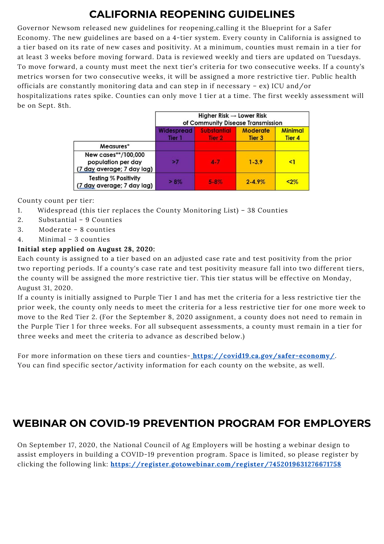# **CALIFORNIA REOPENING GUIDELINES**

Governor Newsom released new guidelines for reopening,calling it the Blueprint for a Safer Economy. The new guidelines are based on a 4-tier system. Every county in California is assigned to a tier based on its rate of new cases and positivity. At a minimum, counties must remain in a tier for at least 3 weeks before moving forward. Data is reviewed weekly and tiers are updated on Tuesdays. To move forward, a county must meet the next tier's criteria for two consecutive weeks. If a county's metrics worsen for two consecutive weeks, it will be assigned a more restrictive tier. Public health officials are constantly monitoring data and can step in if necessary – ex) ICU and/or hospitalizations rates spike. Counties can only move 1 tier at a time. The first weekly assessment will be on Sept. 8th.

|                                                                         | Higher Risk $\rightarrow$ Lower Risk<br>of Community Disease Transmission |                              |                           |                                     |
|-------------------------------------------------------------------------|---------------------------------------------------------------------------|------------------------------|---------------------------|-------------------------------------|
|                                                                         | <b>Widespread</b><br>Tier 1                                               | <b>Substantial</b><br>Tier 2 | <b>Moderate</b><br>Tier 3 | <b>Minimal</b><br>Tier <sub>4</sub> |
| Measures*                                                               |                                                                           |                              |                           |                                     |
| New cases**/100,000<br>population per day<br>(7 day average; 7 day lag) | >7                                                                        | $4 - 7$                      | $1 - 3.9$                 | <1                                  |
| <b>Testing % Positivity</b><br>(7 day average; 7 day lag)               | $>8\%$                                                                    | $5 - 8\%$                    | $2 - 4.9%$                | $2\%$                               |

County count per tier:

- 1. Widespread (this tier replaces the County Monitoring List) 38 Counties
- 2. Substantial 9 Counties
- 3. Moderate 8 counties
- 4. Minimal 3 counties

### **Initial step applied on August 28, 2020:**

Each county is assigned to a tier based on an adjusted case rate and test positivity from the prior two reporting periods. If a county's case rate and test positivity measure fall into two different tiers, the county will be assigned the more restrictive tier. This tier status will be effective on Monday, August 31, 2020.

If a county is initially assigned to Purple Tier 1 and has met the criteria for a less restrictive tier the prior week, the county only needs to meet the criteria for a less restrictive tier for one more week to move to the Red Tier 2. (For the September 8, 2020 assignment, a county does not need to remain in the Purple Tier 1 for three weeks. For all subsequent assessments, a county must remain in a tier for three weeks and meet the criteria to advance as described below.)

For more information on these tiers and counties-<https://covid19.ca.gov/safer-economy/>. You can find specific sector/activity information for each county on the website, as well.

## **WEBINAR ON COVID-19 PREVENTION PROGRAM FOR EMPLOYERS**

On September 17, 2020, the National Council of Ag Employers will be hosting a webinar design to assist employers in building a COVID-19 prevention program. Space is limited, so please register by clicking the following link: **<https://register.gotowebinar.com/register/7452019631276671758>**